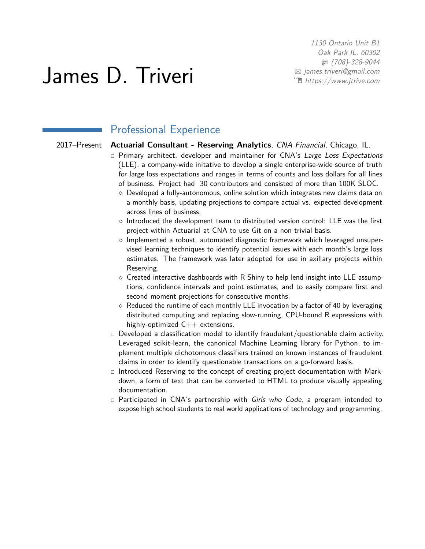1130 Ontario Unit B1 Oak Park IL, 60302 H (708)-328-9044 B [james.triveri@gmail.com](mailto:james.triveri@gmail.com) Í [https://www.jtrive.com](http://https://www.jtrive.com)

# James D. Triveri

## Professional Experience

#### 2017–Present **Actuarial Consultant - Reserving Analytics**, CNA Financial, Chicago, IL.

- $\Box$  Primary architect, developer and maintainer for CNA's Large Loss Expectations (LLE), a company-wide initative to develop a single enterprise-wide source of truth for large loss expectations and ranges in terms of counts and loss dollars for all lines of business. Project had 30 contributors and consisted of more than 100K SLOC.
	- $\diamond$  Developed a fully-autonomous, online solution which integrates new claims data on a monthly basis, updating projections to compare actual vs. expected development across lines of business.
	- $\Diamond$  Introduced the development team to distributed version control: LLE was the first project within Actuarial at CNA to use Git on a non-trivial basis.
	- $\diamond$  Implemented a robust, automated diagnostic framework which leveraged unsupervised learning techniques to identify potential issues with each month's large loss estimates. The framework was later adopted for use in axillary projects within Reserving.
	- $\diamond$  Created interactive dashboards with R Shiny to help lend insight into LLE assumptions, confidence intervals and point estimates, and to easily compare first and second moment projections for consecutive months.
	- $\Diamond$  Reduced the runtime of each monthly LLE invocation by a factor of 40 by leveraging distributed computing and replacing slow-running, CPU-bound R expressions with highly-optimized  $C++$  extensions.
- $\Box$  Developed a classification model to identify fraudulent/questionable claim activity. Leveraged scikit-learn, the canonical Machine Learning library for Python, to implement multiple dichotomous classifiers trained on known instances of fraudulent claims in order to identify questionable transactions on a go-forward basis.
- $\Box$  Introduced Reserving to the concept of creating project documentation with Markdown, a form of text that can be converted to HTML to produce visually appealing documentation.
- $\Box$  Participated in CNA's partnership with Girls who Code, a program intended to expose high school students to real world applications of technology and programming.